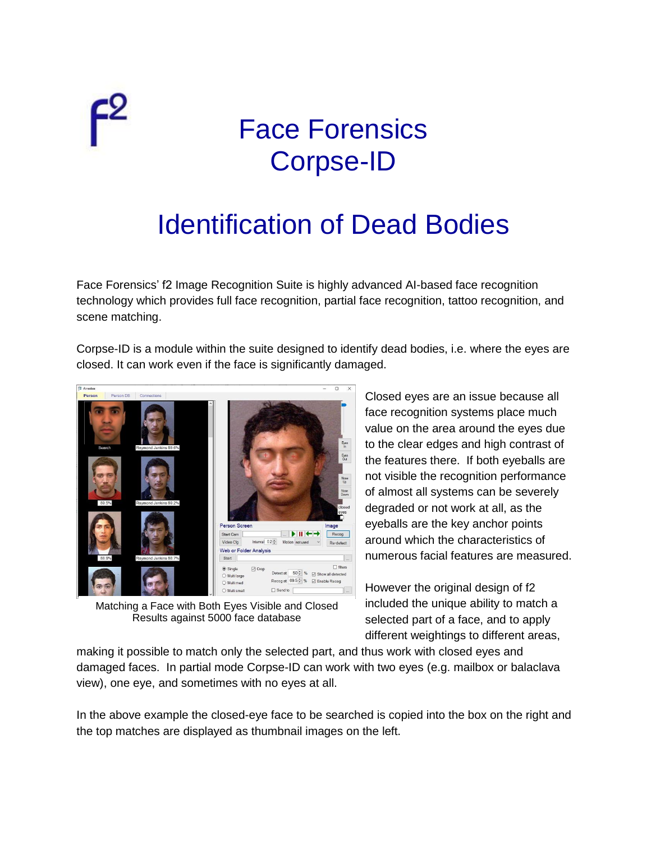

## Face Forensics Corpse-ID

## Identification of Dead Bodies

Face Forensics' f2 Image Recognition Suite is highly advanced AI-based face recognition technology which provides full face recognition, partial face recognition, tattoo recognition, and scene matching.

Corpse-ID is a module within the suite designed to identify dead bodies, i.e. where the eyes are closed. It can work even if the face is significantly damaged.



Matching a Face with Both Eyes Visible and Closed Results against 5000 face database

Closed eyes are an issue because all face recognition systems place much value on the area around the eyes due to the clear edges and high contrast of the features there. If both eyeballs are not visible the recognition performance of almost all systems can be severely degraded or not work at all, as the eyeballs are the key anchor points around which the characteristics of numerous facial features are measured.

However the original design of f2 included the unique ability to match a selected part of a face, and to apply different weightings to different areas,

making it possible to match only the selected part, and thus work with closed eyes and damaged faces. In partial mode Corpse-ID can work with two eyes (e.g. mailbox or balaclava view), one eye, and sometimes with no eyes at all.

In the above example the closed-eye face to be searched is copied into the box on the right and the top matches are displayed as thumbnail images on the left.